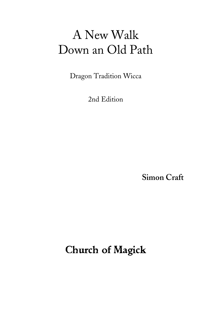Dragon Tradition Wicca

2nd Edition

**Simon Craft**

Church of Magick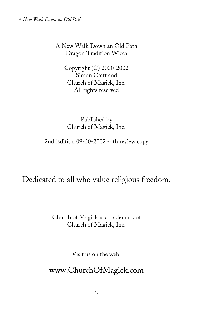A New Walk Down an Old Path Dragon Tradition Wicca

> Copyright (C) 2000-2002 Simon Craft and Church of Magick, Inc. All rights reserved

Published by Church of Magick, Inc.

2nd Edition 09-30-2002 -4th review copy

Dedicated to all who value religious freedom.

Church of Magick is a trademark of Church of Magick, Inc.

Visit us on the web:

www.ChurchOfMagick.com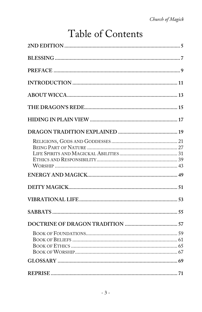# Table of Contents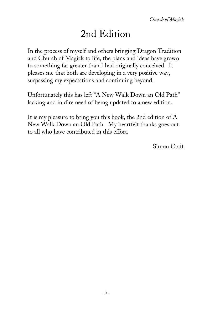# 2nd Edition

In the process of myself and others bringing Dragon Tradition and Church of Magick to life, the plans and ideas have grown to something far greater than I had originally conceived. It pleases me that both are developing in a very positive way, surpassing my expectations and continuing beyond.

Unfortunately this has left "A New Walk Down an Old Path" lacking and in dire need of being updated to a new edition.

It is my pleasure to bring you this book, the 2nd edition of A New Walk Down an Old Path. My heartfelt thanks goes out to all who have contributed in this effort.

Simon Craft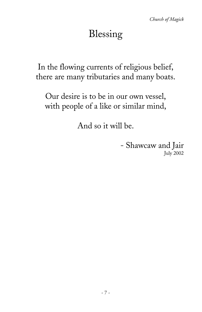# Blessing

In the flowing currents of religious belief, there are many tributaries and many boats.

Our desire is to be in our own vessel, with people of a like or similar mind,

And so it will be.

- Shawcaw and Jair July 2002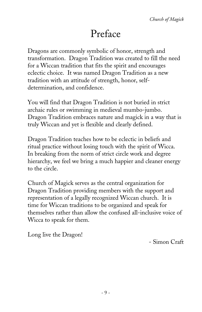# Preface

Dragons are commonly symbolic of honor, strength and transformation. Dragon Tradition was created to fill the need for a Wiccan tradition that fits the spirit and encourages eclectic choice. It was named Dragon Tradition as a new tradition with an attitude of strength, honor, selfdetermination, and confidence.

You will find that Dragon Tradition is not buried in strict archaic rules or swimming in medieval mumbo-jumbo. Dragon Tradition embraces nature and magick in a way that is truly Wiccan and yet is flexible and clearly defined.

Dragon Tradition teaches how to be eclectic in beliefs and ritual practice without losing touch with the spirit of Wicca. In breaking from the norm of strict circle work and degree hierarchy, we feel we bring a much happier and cleaner energy to the circle.

Church of Magick serves as the central organization for Dragon Tradition providing members with the support and representation of a legally recognized Wiccan church. It is time for Wiccan traditions to be organized and speak for themselves rather than allow the confused all-inclusive voice of Wicca to speak for them.

Long live the Dragon!

- Simon Craft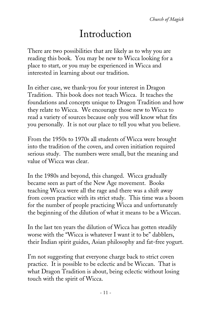# Introduction

There are two possibilities that are likely as to why you are reading this book. You may be new to Wicca looking for a place to start, or you may be experienced in Wicca and interested in learning about our tradition.

In either case, we thank-you for your interest in Dragon Tradition. This book does not teach Wicca. It teaches the foundations and concepts unique to Dragon Tradition and how they relate to Wicca. We encourage those new to Wicca to read a variety of sources because only you will know what fits you personally. It is not our place to tell you what you believe.

From the 1950s to 1970s all students of Wicca were brought into the tradition of the coven, and coven initiation required serious study. The numbers were small, but the meaning and value of Wicca was clear.

In the 1980s and beyond, this changed. Wicca gradually became seen as part of the New Age movement. Books teaching Wicca were all the rage and there was a shift away from coven practice with its strict study. This time was a boom for the number of people practicing Wicca and unfortunately the beginning of the dilution of what it means to be a Wiccan.

In the last ten years the dilution of Wicca has gotten steadily worse with the "Wicca is whatever I want it to be" dabblers, their Indian spirit guides, Asian philosophy and fat-free yogurt.

I'm not suggesting that everyone charge back to strict coven practice. It is possible to be eclectic and be Wiccan. That is what Dragon Tradition is about, being eclectic without losing touch with the spirit of Wicca.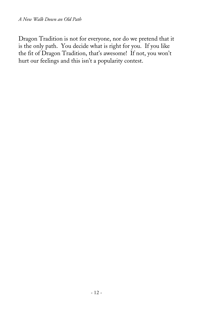Dragon Tradition is not for everyone, nor do we pretend that it is the only path. You decide what is right for you. If you like the fit of Dragon Tradition, that's awesome! If not, you won't hurt our feelings and this isn't a popularity contest.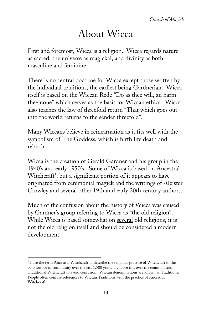# About Wicca

First and foremost, Wicca is a religion. Wicca regards nature as sacred, the universe as magickal, and divinity as both masculine and feminine.

There is no central doctrine for Wicca except those written by the individual traditions, the earliest being Gardnerian. Wicca itself is based on the Wiccan Rede "Do as thee will, an harm thee none" which serves as the basis for Wiccan ethics. Wicca also teaches the law of threefold return "That which goes out into the world returns to the sender threefold".

Many Wiccans believe in reincarnation as it fits well with the symbolism of The Goddess, which is birth life death and rebirth.

Wicca is the creation of Gerald Gardner and his group in the 1940's and early 1950's. Some of Wicca is based on Ancestral Witchcraft<sup>1</sup>, but a significant portion of it appears to have originated from ceremonial magick and the writings of Aleister Crowley and several other 19th and early 20th century authors.

Much of the confusion about the history of Wicca was caused by Gardner's group referring to Wicca as "the old religion". While Wicca is based somewhat on several old religions, it is not the old religion itself and should be considered a modern development.

<sup>-</sup><sup>1</sup> I use the term Ancestral Witchcraft to describe the religious practice of Witchcraft in the pan-European community over the last 1,500 years. I choose this over the common term Traditional Witchcraft to avoid confusion. Wiccan denominations are known as Traditions. People often confuse references to Wiccan Traditions with the practice of Ancestral Witchcraft.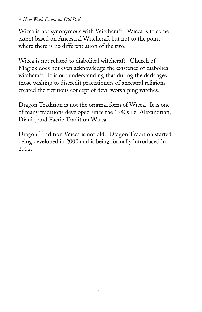Wicca is not synonymous with Witchcraft. Wicca is to some extent based on Ancestral Witchcraft but not to the point where there is no differentiation of the two.

Wicca is not related to diabolical witchcraft. Church of Magick does not even acknowledge the existence of diabolical witchcraft. It is our understanding that during the dark ages those wishing to discredit practitioners of ancestral religions created the fictitious concept of devil worshiping witches.

Dragon Tradition is not the original form of Wicca. It is one of many traditions developed since the 1940s i.e. Alexandrian, Dianic, and Faerie Tradition Wicca.

Dragon Tradition Wicca is not old. Dragon Tradition started being developed in 2000 and is being formally introduced in 2002.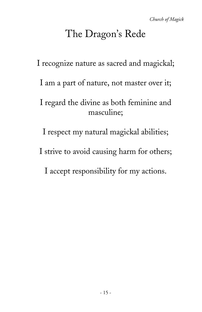# The Dragon's Rede

I recognize nature as sacred and magickal;

I am a part of nature, not master over it;

I regard the divine as both feminine and masculine;

I respect my natural magickal abilities;

I strive to avoid causing harm for others;

I accept responsibility for my actions.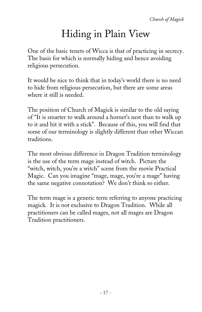# Hiding in Plain View

One of the basic tenets of Wicca is that of practicing in secrecy. The basis for which is normally hiding and hence avoiding religious persecution.

It would be nice to think that in today's world there is no need to hide from religious persecution, but there are some areas where it still is needed.

The position of Church of Magick is similar to the old saying of "It is smarter to walk around a hornet's nest than to walk up to it and hit it with a stick". Because of this, you will find that some of our terminology is slightly different than other Wiccan traditions.

The most obvious difference in Dragon Tradition terminology is the use of the term mage instead of witch. Picture the "witch, witch, you're a witch" scene from the movie Practical Magic. Can you imagine "mage, mage, you're a mage" having the same negative connotation? We don't think so either.

The term mage is a generic term referring to anyone practicing magick. It is not exclusive to Dragon Tradition. While all practitioners can be called mages, not all mages are Dragon Tradition practitioners.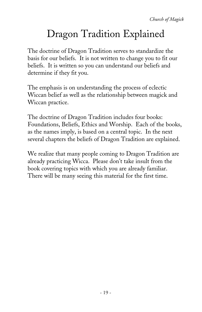# Dragon Tradition Explained

The doctrine of Dragon Tradition serves to standardize the basis for our beliefs. It is not written to change you to fit our beliefs. It is written so you can understand our beliefs and determine if they fit you.

The emphasis is on understanding the process of eclectic Wiccan belief as well as the relationship between magick and Wiccan practice.

The doctrine of Dragon Tradition includes four books: Foundations, Beliefs, Ethics and Worship. Each of the books, as the names imply, is based on a central topic. In the next several chapters the beliefs of Dragon Tradition are explained.

We realize that many people coming to Dragon Tradition are already practicing Wicca. Please don't take insult from the book covering topics with which you are already familiar. There will be many seeing this material for the first time.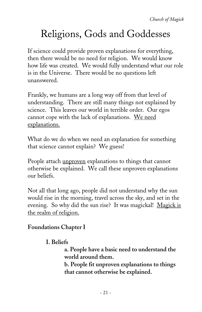# Religions, Gods and Goddesses

If science could provide proven explanations for everything, then there would be no need for religion. We would know how life was created. We would fully understand what our role is in the Universe. There would be no questions left unanswered.

Frankly, we humans are a long way off from that level of understanding. There are still many things not explained by science. This leaves our world in terrible order. Our egos cannot cope with the lack of explanations. We need explanations.

What do we do when we need an explanation for something that science cannot explain? We guess!

People attach unproven explanations to things that cannot otherwise be explained. We call these unproven explanations our beliefs.

Not all that long ago, people did not understand why the sun would rise in the morning, travel across the sky, and set in the evening. So why did the sun rise? It was magickal! Magick is the realm of religion.

#### **Foundations Chapter I**

#### **I. Beliefs**

**a. People have a basic need to understand the world around them.**

**b. People fit unproven explanations to things that cannot otherwise be explained.**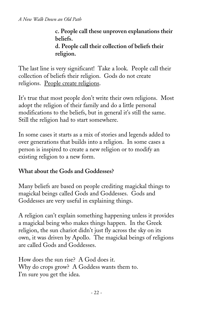**c. People call these unproven explanations their beliefs. d. People call their collection of beliefs their religion.**

The last line is very significant! Take a look. People call their collection of beliefs their religion. Gods do not create religions. People create religions.

It's true that most people don't write their own religions. Most adopt the religion of their family and do a little personal modifications to the beliefs, but in general it's still the same. Still the religion had to start somewhere.

In some cases it starts as a mix of stories and legends added to over generations that builds into a religion. In some cases a person is inspired to create a new religion or to modify an existing religion to a new form.

#### **What about the Gods and Goddesses?**

Many beliefs are based on people crediting magickal things to magickal beings called Gods and Goddesses. Gods and Goddesses are very useful in explaining things.

A religion can't explain something happening unless it provides a magickal being who makes things happen. In the Greek religion, the sun chariot didn't just fly across the sky on its own, it was driven by Apollo. The magickal beings of religions are called Gods and Goddesses.

How does the sun rise? A God does it. Why do crops grow? A Goddess wants them to. I'm sure you get the idea.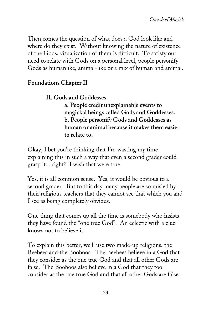Then comes the question of what does a God look like and where do they exist. Without knowing the nature of existence of the Gods, visualization of them is difficult. To satisfy our need to relate with Gods on a personal level, people personify Gods as humanlike, animal-like or a mix of human and animal.

#### **Foundations Chapter II**

#### **II. Gods and Goddesses**

**a. People credit unexplainable events to magickal beings called Gods and Goddesses. b. People personify Gods and Goddesses as human or animal because it makes them easier to relate to.**

Okay, I bet you're thinking that I'm wasting my time explaining this in such a way that even a second grader could grasp it... right? I wish that were true.

Yes, it is all common sense. Yes, it would be obvious to a second grader. But to this day many people are so misled by their religious teachers that they cannot see that which you and I see as being completely obvious.

One thing that comes up all the time is somebody who insists they have found the "one true God". An eclectic with a clue knows not to believe it.

To explain this better, we'll use two made-up religions, the Beebees and the Booboos. The Beebees believe in a God that they consider as the one true God and that all other Gods are false. The Booboos also believe in a God that they too consider as the one true God and that all other Gods are false.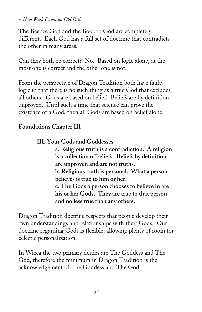The Beebee God and the Booboo God are completely different. Each God has a full set of doctrine that contradicts the other in many areas.

Can they both be correct? No. Based on logic alone, at the most one is correct and the other one is not.

From the perspective of Dragon Tradition both have faulty logic in that there is no such thing as a true God that excludes all others. Gods are based on belief. Beliefs are by definition unproven. Until such a time that science can prove the existence of a God, then all Gods are based on belief alone.

#### **Foundations Chapter III**

#### **III. Your Gods and Goddesses**

**a. Religious truth is a contradiction. A religion is a collection of beliefs. Beliefs by definition are unproven and are not truths.**

**b. Religious truth is personal. What a person believes is true to him or her.**

**c. The Gods a person chooses to believe in are his or her Gods. They are true to that person and no less true than any others.**

Dragon Tradition doctrine respects that people develop their own understandings and relationships with their Gods. Our doctrine regarding Gods is flexible, allowing plenty of room for eclectic personalization.

In Wicca the two primary deities are The Goddess and The God, therefore the minimum in Dragon Tradition is the acknowledgement of The Goddess and The God.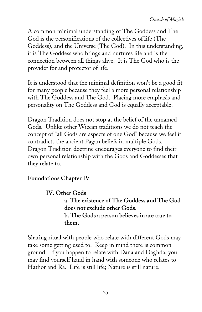A common minimal understanding of The Goddess and The God is the personifications of the collectives of life (The Goddess), and the Universe (The God). In this understanding, it is The Goddess who brings and nurtures life and is the connection between all things alive. It is The God who is the provider for and protector of life.

It is understood that the minimal definition won't be a good fit for many people because they feel a more personal relationship with The Goddess and The God. Placing more emphasis and personality on The Goddess and God is equally acceptable.

Dragon Tradition does not stop at the belief of the unnamed Gods. Unlike other Wiccan traditions we do not teach the concept of "all Gods are aspects of one God" because we feel it contradicts the ancient Pagan beliefs in multiple Gods. Dragon Tradition doctrine encourages everyone to find their own personal relationship with the Gods and Goddesses that they relate to.

#### **Foundations Chapter IV**

**IV. Other Gods**

**a. The existence of The Goddess and The God does not exclude other Gods. b. The Gods a person believes in are true to them.**

Sharing ritual with people who relate with different Gods may take some getting used to. Keep in mind there is common ground. If you happen to relate with Dana and Daghda, you may find yourself hand in hand with someone who relates to Hathor and Ra. Life is still life; Nature is still nature.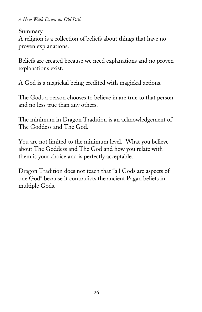#### **Summary**

A religion is a collection of beliefs about things that have no proven explanations.

Beliefs are created because we need explanations and no proven explanations exist.

A God is a magickal being credited with magickal actions.

The Gods a person chooses to believe in are true to that person and no less true than any others.

The minimum in Dragon Tradition is an acknowledgement of The Goddess and The God.

You are not limited to the minimum level. What you believe about The Goddess and The God and how you relate with them is your choice and is perfectly acceptable.

Dragon Tradition does not teach that "all Gods are aspects of one God" because it contradicts the ancient Pagan beliefs in multiple Gods.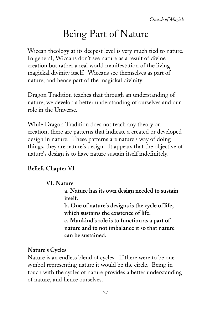# Being Part of Nature

Wiccan theology at its deepest level is very much tied to nature. In general, Wiccans don't see nature as a result of divine creation but rather a real world manifestation of the living magickal divinity itself. Wiccans see themselves as part of nature, and hence part of the magickal divinity.

Dragon Tradition teaches that through an understanding of nature, we develop a better understanding of ourselves and our role in the Universe.

While Dragon Tradition does not teach any theory on creation, there are patterns that indicate a created or developed design in nature. These patterns are nature's way of doing things, they are nature's design. It appears that the objective of nature's design is to have nature sustain itself indefinitely.

### **Beliefs Chapter VI**

#### **VI. Nature**

**a. Nature has its own design needed to sustain itself.**

**b. One of nature's designs is the cycle of life, which sustains the existence of life.**

**c. Mankind's role is to function as a part of nature and to not imbalance it so that nature can be sustained.**

#### **Nature's Cycles**

Nature is an endless blend of cycles. If there were to be one symbol representing nature it would be the circle. Being in touch with the cycles of nature provides a better understanding of nature, and hence ourselves.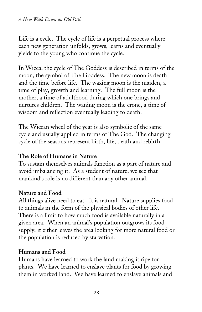Life is a cycle. The cycle of life is a perpetual process where each new generation unfolds, grows, learns and eventually yields to the young who continue the cycle.

In Wicca, the cycle of The Goddess is described in terms of the moon, the symbol of The Goddess. The new moon is death and the time before life. The waxing moon is the maiden, a time of play, growth and learning. The full moon is the mother, a time of adulthood during which one brings and nurtures children. The waning moon is the crone, a time of wisdom and reflection eventually leading to death.

The Wiccan wheel of the year is also symbolic of the same cycle and usually applied in terms of The God. The changing cycle of the seasons represent birth, life, death and rebirth.

#### **The Role of Humans in Nature**

To sustain themselves animals function as a part of nature and avoid imbalancing it. As a student of nature, we see that mankind's role is no different than any other animal.

#### **Nature and Food**

All things alive need to eat. It is natural. Nature supplies food to animals in the form of the physical bodies of other life. There is a limit to how much food is available naturally in a given area. When an animal's population outgrows its food supply, it either leaves the area looking for more natural food or the population is reduced by starvation.

#### **Humans and Food**

Humans have learned to work the land making it ripe for plants. We have learned to enslave plants for food by growing them in worked land. We have learned to enslave animals and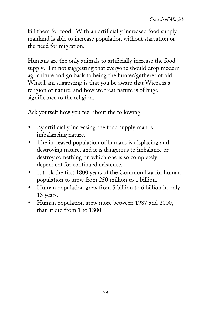kill them for food. With an artificially increased food supply mankind is able to increase population without starvation or the need for migration.

Humans are the only animals to artificially increase the food supply. I'm not suggesting that everyone should drop modern agriculture and go back to being the hunter/gatherer of old. What I am suggesting is that you be aware that Wicca is a religion of nature, and how we treat nature is of huge significance to the religion.

Ask yourself how you feel about the following:

- By artificially increasing the food supply man is imbalancing nature.
- The increased population of humans is displacing and destroying nature, and it is dangerous to imbalance or destroy something on which one is so completely dependent for continued existence.
- It took the first 1800 years of the Common Era for human population to grow from 250 million to 1 billion.
- Human population grew from 5 billion to 6 billion in only 13 years.
- Human population grew more between 1987 and 2000, than it did from 1 to 1800.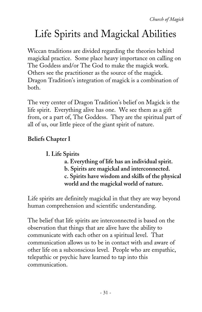# Life Spirits and Magickal Abilities

Wiccan traditions are divided regarding the theories behind magickal practice. Some place heavy importance on calling on The Goddess and/or The God to make the magick work. Others see the practitioner as the source of the magick. Dragon Tradition's integration of magick is a combination of both.

The very center of Dragon Tradition's belief on Magick is the life spirit. Everything alive has one. We see them as a gift from, or a part of, The Goddess. They are the spiritual part of all of us, our little piece of the giant spirit of nature.

### **Beliefs Chapter I**

**I. Life Spirits**

- **a. Everything of life has an individual spirit.**
- **b. Spirits are magickal and interconnected.**

**c. Spirits have wisdom and skills of the physical world and the magickal world of nature.**

Life spirits are definitely magickal in that they are way beyond human comprehension and scientific understanding.

The belief that life spirits are interconnected is based on the observation that things that are alive have the ability to communicate with each other on a spiritual level. That communication allows us to be in contact with and aware of other life on a subconscious level. People who are empathic, telepathic or psychic have learned to tap into this communication.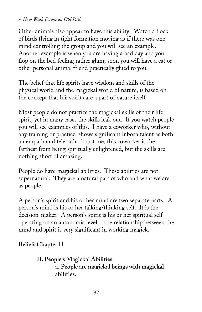Other animals also appear to have this ability. Watch a flock of birds flying in tight formation moving as if there was one mind controlling the group and you will see an example. Another example is when you are having a bad day and you flop on the bed feeling rather glum; soon you will have a cat or other personal animal friend practically glued to you.

The belief that life spirits have wisdom and skills of the physical world and the magickal world of nature, is based on the concept that life spirits are a part of nature itself.

Most people do not practice the magickal skills of their life spirit, yet in many cases the skills leak out. If you watch people you will see examples of this. I have a coworker who, without any training or practice, shows significant inborn talent as both an empath and telepath. Trust me, this coworker is the farthest from being spiritually enlightened, but the skills are nothing short of amazing.

People do have magickal abilities. These abilities are not supernatural. They are a natural part of who and what we are as people.

A person's spirit and his or her mind are two separate parts. A person's mind is his or her talking/thinking self. It is the decision-maker. A person's spirit is his or her spiritual self operating on an autonomic level. The relationship between the mind and spirit is very significant in working magick.

#### **Beliefs Chapter II**

**II. People's Magickal Abilities a. People are magickal beings with magickal abilities.**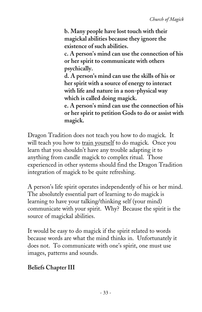**b. Many people have lost touch with their magickal abilities because they ignore the existence of such abilities.**

**c. A person's mind can use the connection of his or her spirit to communicate with others psychically.**

**d. A person's mind can use the skills of his or her spirit with a source of energy to interact with life and nature in a non-physical way which is called doing magick.**

**e. A person's mind can use the connection of his or her spirit to petition Gods to do or assist with magick.**

Dragon Tradition does not teach you how to do magick. It will teach you how to train yourself to do magick. Once you learn that you shouldn't have any trouble adapting it to anything from candle magick to complex ritual. Those experienced in other systems should find the Dragon Tradition integration of magick to be quite refreshing.

A person's life spirit operates independently of his or her mind. The absolutely essential part of learning to do magick is learning to have your talking/thinking self (your mind) communicate with your spirit. Why? Because the spirit is the source of magickal abilities.

It would be easy to do magick if the spirit related to words because words are what the mind thinks in. Unfortunately it does not. To communicate with one's spirit, one must use images, patterns and sounds.

### **Beliefs Chapter III**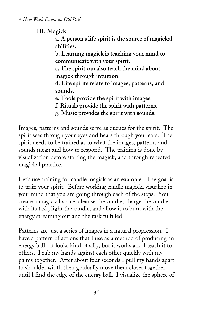**III. Magick**

**a. A person's life spirit is the source of magickal abilities.**

**b. Learning magick is teaching your mind to communicate with your spirit.**

**c. The spirit can also teach the mind about magick through intuition.**

**d. Life spirits relate to images, patterns, and sounds.**

**e. Tools provide the spirit with images.**

**f. Rituals provide the spirit with patterns.**

**g. Music provides the spirit with sounds.**

Images, patterns and sounds serve as queues for the spirit. The spirit sees through your eyes and hears through your ears. The spirit needs to be trained as to what the images, patterns and sounds mean and how to respond. The training is done by visualization before starting the magick, and through repeated magickal practice.

Let's use training for candle magick as an example. The goal is to train your spirit. Before working candle magick, visualize in your mind that you are going through each of the steps. You create a magickal space, cleanse the candle, charge the candle with its task, light the candle, and allow it to burn with the energy streaming out and the task fulfilled.

Patterns are just a series of images in a natural progression. I have a pattern of actions that I use as a method of producing an energy ball. It looks kind of silly, but it works and I teach it to others. I rub my hands against each other quickly with my palms together. After about four seconds I pull my hands apart to shoulder width then gradually move them closer together until I find the edge of the energy ball. I visualize the sphere of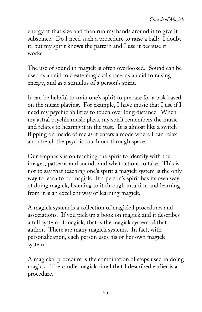energy at that size and then run my hands around it to give it substance. Do I need such a procedure to raise a ball? I doubt it, but my spirit knows the pattern and I use it because it works.

The use of sound in magick is often overlooked. Sound can be used as an aid to create magickal space, as an aid to raising energy, and as a stimulus of a person's spirit.

It can be helpful to train one's spirit to prepare for a task based on the music playing. For example, I have music that I use if I need my psychic abilities to touch over long distance. When my astral psychic music plays, my spirit remembers the music and relates to hearing it in the past. It is almost like a switch flipping on inside of me as it enters a mode where I can relax and stretch the psychic touch out through space.

Our emphasis is on teaching the spirit to identify with the images, patterns and sounds and what actions to take. This is not to say that teaching one's spirit a magick system is the only way to learn to do magick. If a person's spirit has its own way of doing magick, listening to it through intuition and learning from it is an excellent way of learning magick.

A magick system is a collection of magickal procedures and associations. If you pick up a book on magick and it describes a full system of magick, that is the magick system of that author. There are many magick systems. In fact, with personalization, each person uses his or her own magick system.

A magickal procedure is the combination of steps used in doing magick. The candle magick ritual that I described earlier is a procedure.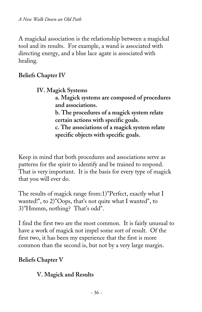A magickal association is the relationship between a magickal tool and its results. For example, a wand is associated with directing energy, and a blue lace agate is associated with healing.

#### **Beliefs Chapter IV**

**IV. Magick Systems**

**a. Magick systems are composed of procedures and associations.**

**b. The procedures of a magick system relate certain actions with specific goals. c. The associations of a magick system relate specific objects with specific goals.**

Keep in mind that both procedures and associations serve as patterns for the spirit to identify and be trained to respond. That is very important. It is the basis for every type of magick that you will ever do.

The results of magick range from:1)"Perfect, exactly what I wanted!", to 2)"Oops, that's not quite what I wanted", to 3)"Hmmm, nothing? That's odd".

I find the first two are the most common. It is fairly unusual to have a work of magick not impel some sort of result. Of the first two, it has been my experience that the first is more common than the second is, but not by a very large margin.

### **Beliefs Chapter V**

### **V. Magick and Results**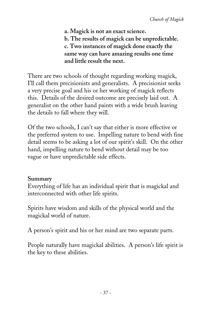**a. Magick is not an exact science. b. The results of magick can be unpredictable. c. Two instances of magick done exactly the same way can have amazing results one time and little result the next.**

There are two schools of thought regarding working magick, I'll call them precisionists and generalists. A precisionist seeks a very precise goal and his or her working of magick reflects this. Details of the desired outcome are precisely laid out. A generalist on the other hand paints with a wide brush leaving the details to fall where they will.

Of the two schools, I can't say that either is more effective or the preferred system to use. Impelling nature to bend with fine detail seems to be asking a lot of our spirit's skill. On the other hand, impelling nature to bend without detail may be too vague or have unpredictable side effects.

#### **Summary**

Everything of life has an individual spirit that is magickal and interconnected with other life spirits.

Spirits have wisdom and skills of the physical world and the magickal world of nature.

A person's spirit and his or her mind are two separate parts.

People naturally have magickal abilities. A person's life spirit is the key to these abilities.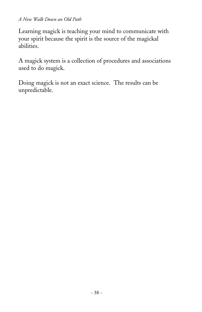Learning magick is teaching your mind to communicate with your spirit because the spirit is the source of the magickal abilities.

A magick system is a collection of procedures and associations used to do magick.

Doing magick is not an exact science. The results can be unpredictable.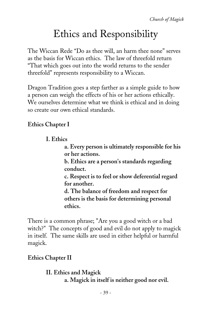# Ethics and Responsibility

The Wiccan Rede "Do as thee will, an harm thee none" serves as the basis for Wiccan ethics. The law of threefold return "That which goes out into the world returns to the sender threefold" represents responsibility to a Wiccan.

Dragon Tradition goes a step farther as a simple guide to how a person can weigh the effects of his or her actions ethically. We ourselves determine what we think is ethical and in doing so create our own ethical standards.

### **Ethics Chapter I**

**I. Ethics**

**a. Every person is ultimately responsible for his or her actions.**

**b. Ethics are a person's standards regarding conduct.**

**c. Respect is to feel or show deferential regard for another.**

**d. The balance of freedom and respect for others is the basis for determining personal ethics.**

There is a common phrase; "Are you a good witch or a bad witch?" The concepts of good and evil do not apply to magick in itself. The same skills are used in either helpful or harmful magick.

### **Ethics Chapter II**

**II. Ethics and Magick a. Magick in itself is neither good nor evil.**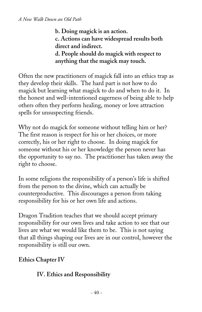**b. Doing magick is an action. c. Actions can have widespread results both direct and indirect. d. People should do magick with respect to anything that the magick may touch.**

Often the new practitioners of magick fall into an ethics trap as they develop their skills. The hard part is not how to do magick but learning what magick to do and when to do it. In the honest and well-intentioned eagerness of being able to help others often they perform healing, money or love attraction spells for unsuspecting friends.

Why not do magick for someone without telling him or her? The first reason is respect for his or her choices, or more correctly, his or her right to choose. In doing magick for someone without his or her knowledge the person never has the opportunity to say no. The practitioner has taken away the right to choose.

In some religions the responsibility of a person's life is shifted from the person to the divine, which can actually be counterproductive. This discourages a person from taking responsibility for his or her own life and actions.

Dragon Tradition teaches that we should accept primary responsibility for our own lives and take action to see that our lives are what we would like them to be. This is not saying that all things shaping our lives are in our control, however the responsibility is still our own.

### **Ethics Chapter IV**

#### **IV. Ethics and Responsibility**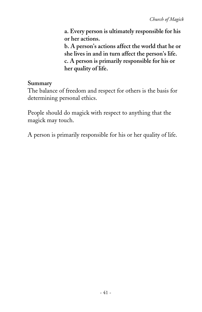**a. Every person is ultimately responsible for his or her actions.**

**b. A person's actions affect the world that he or she lives in and in turn affect the person's life. c. A person is primarily responsible for his or her quality of life.**

#### **Summary**

The balance of freedom and respect for others is the basis for determining personal ethics.

People should do magick with respect to anything that the magick may touch.

A person is primarily responsible for his or her quality of life.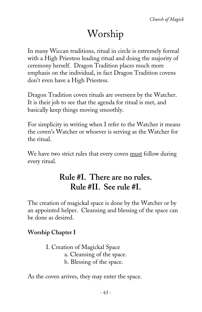# Worship

In many Wiccan traditions, ritual in circle is extremely formal with a High Priestess leading ritual and doing the majority of ceremony herself. Dragon Tradition places much more emphasis on the individual, in fact Dragon Tradition covens don't even have a High Priestess.

Dragon Tradition coven rituals are overseen by the Watcher. It is their job to see that the agenda for ritual is met, and basically keep things moving smoothly.

For simplicity in writing when I refer to the Watcher it means the coven's Watcher or whoever is serving as the Watcher for the ritual.

We have two strict rules that every coven must follow during every ritual.

# **Rule #I. There are no rules. Rule #II. See rule #I.**

The creation of magickal space is done by the Watcher or by an appointed helper. Cleansing and blessing of the space can be done as desired.

### **Worship Chapter I**

I. Creation of Magickal Space a. Cleansing of the space. b. Blessing of the space.

As the coven arrives, they may enter the space.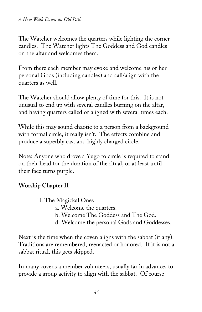The Watcher welcomes the quarters while lighting the corner candles. The Watcher lights The Goddess and God candles on the altar and welcomes them.

From there each member may evoke and welcome his or her personal Gods (including candles) and call/align with the quarters as well.

The Watcher should allow plenty of time for this. It is not unusual to end up with several candles burning on the altar, and having quarters called or aligned with several times each.

While this may sound chaotic to a person from a background with formal circle, it really isn't. The effects combine and produce a superbly cast and highly charged circle.

Note: Anyone who drove a Yugo to circle is required to stand on their head for the duration of the ritual, or at least until their face turns purple.

### **Worship Chapter II**

- II. The Magickal Ones
	- a. Welcome the quarters.
	- b. Welcome The Goddess and The God.
	- d. Welcome the personal Gods and Goddesses.

Next is the time when the coven aligns with the sabbat (if any). Traditions are remembered, reenacted or honored. If it is not a sabbat ritual, this gets skipped.

In many covens a member volunteers, usually far in advance, to provide a group activity to align with the sabbat. Of course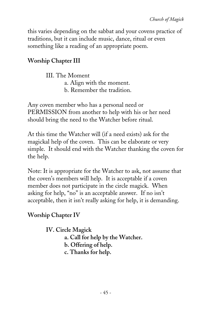this varies depending on the sabbat and your covens practice of traditions, but it can include music, dance, ritual or even something like a reading of an appropriate poem.

### **Worship Chapter III**

III. The Moment a. Align with the moment.

b. Remember the tradition.

Any coven member who has a personal need or PERMISSION from another to help with his or her need should bring the need to the Watcher before ritual.

At this time the Watcher will (if a need exists) ask for the magickal help of the coven. This can be elaborate or very simple. It should end with the Watcher thanking the coven for the help.

Note: It is appropriate for the Watcher to ask, not assume that the coven's members will help. It is acceptable if a coven member does not participate in the circle magick. When asking for help, "no" is an acceptable answer. If no isn't acceptable, then it isn't really asking for help, it is demanding.

## **Worship Chapter IV**

**IV. Circle Magick a. Call for help by the Watcher. b. Offering of help. c. Thanks for help.**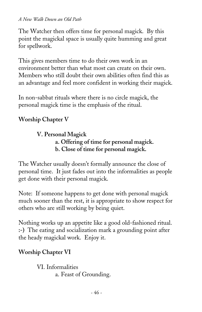The Watcher then offers time for personal magick. By this point the magickal space is usually quite humming and great for spellwork.

This gives members time to do their own work in an environment better than what most can create on their own. Members who still doubt their own abilities often find this as an advantage and feel more confident in working their magick.

In non-sabbat rituals where there is no circle magick, the personal magick time is the emphasis of the ritual.

#### **Worship Chapter V**

#### **V. Personal Magick a. Offering of time for personal magick. b. Close of time for personal magick.**

The Watcher usually doesn't formally announce the close of personal time. It just fades out into the informalities as people get done with their personal magick.

Note: If someone happens to get done with personal magick much sooner than the rest, it is appropriate to show respect for others who are still working by being quiet.

Nothing works up an appetite like a good old-fashioned ritual. **:-)** The eating and socialization mark a grounding point after the heady magickal work. Enjoy it.

#### **Worship Chapter VI**

VI. Informalities a. Feast of Grounding.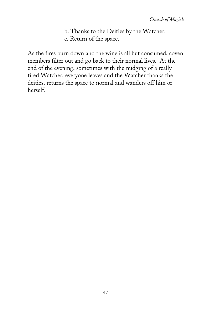b. Thanks to the Deities by the Watcher. c. Return of the space.

As the fires burn down and the wine is all but consumed, coven members filter out and go back to their normal lives. At the end of the evening, sometimes with the nudging of a really tired Watcher, everyone leaves and the Watcher thanks the deities, returns the space to normal and wanders off him or herself.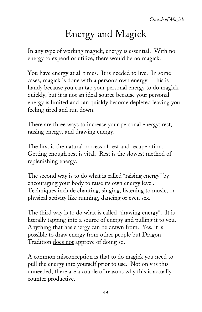# Energy and Magick

In any type of working magick, energy is essential. With no energy to expend or utilize, there would be no magick.

You have energy at all times. It is needed to live. In some cases, magick is done with a person's own energy. This is handy because you can tap your personal energy to do magick quickly, but it is not an ideal source because your personal energy is limited and can quickly become depleted leaving you feeling tired and run down.

There are three ways to increase your personal energy: rest, raising energy, and drawing energy.

The first is the natural process of rest and recuperation. Getting enough rest is vital. Rest is the slowest method of replenishing energy.

The second way is to do what is called "raising energy" by encouraging your body to raise its own energy level. Techniques include chanting, singing, listening to music, or physical activity like running, dancing or even sex.

The third way is to do what is called "drawing energy". It is literally tapping into a source of energy and pulling it to you. Anything that has energy can be drawn from. Yes, it is possible to draw energy from other people but Dragon Tradition does not approve of doing so.

A common misconception is that to do magick you need to pull the energy into yourself prior to use. Not only is this unneeded, there are a couple of reasons why this is actually counter productive.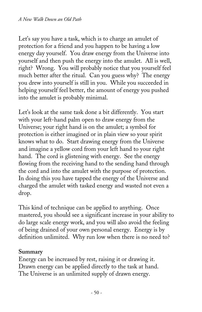Let's say you have a task, which is to charge an amulet of protection for a friend and you happen to be having a low energy day yourself. You draw energy from the Universe into yourself and then push the energy into the amulet. All is well, right? Wrong. You will probably notice that you yourself feel much better after the ritual. Can you guess why? The energy you drew into yourself is still in you. While you succeeded in helping yourself feel better, the amount of energy you pushed into the amulet is probably minimal.

Let's look at the same task done a bit differently. You start with your left-hand palm open to draw energy from the Universe; your right hand is on the amulet; a symbol for protection is either imagined or in plain view so your spirit knows what to do. Start drawing energy from the Universe and imagine a yellow cord from your left hand to your right hand. The cord is glistening with energy. See the energy flowing from the receiving hand to the sending hand through the cord and into the amulet with the purpose of protection. In doing this you have tapped the energy of the Universe and charged the amulet with tasked energy and wasted not even a drop.

This kind of technique can be applied to anything. Once mastered, you should see a significant increase in your ability to do large scale energy work, and you will also avoid the feeling of being drained of your own personal energy. Energy is by definition unlimited. Why run low when there is no need to?

#### **Summary**

Energy can be increased by rest, raising it or drawing it. Drawn energy can be applied directly to the task at hand. The Universe is an unlimited supply of drawn energy.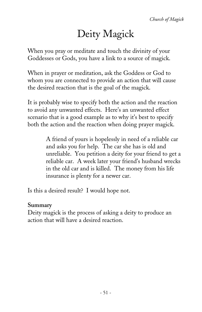# Deity Magick

When you pray or meditate and touch the divinity of your Goddesses or Gods, you have a link to a source of magick.

When in prayer or meditation, ask the Goddess or God to whom you are connected to provide an action that will cause the desired reaction that is the goal of the magick.

It is probably wise to specify both the action and the reaction to avoid any unwanted effects. Here's an unwanted effect scenario that is a good example as to why it's best to specify both the action and the reaction when doing prayer magick.

> A friend of yours is hopelessly in need of a reliable car and asks you for help. The car she has is old and unreliable. You petition a deity for your friend to get a reliable car. A week later your friend's husband wrecks in the old car and is killed. The money from his life insurance is plenty for a newer car.

Is this a desired result? I would hope not.

#### **Summary**

Deity magick is the process of asking a deity to produce an action that will have a desired reaction.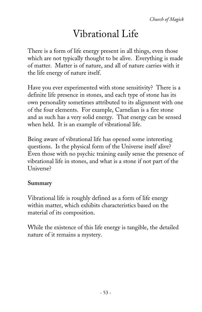# Vibrational Life

There is a form of life energy present in all things, even those which are not typically thought to be alive. Everything is made of matter. Matter is of nature, and all of nature carries with it the life energy of nature itself.

Have you ever experimented with stone sensitivity? There is a definite life presence in stones, and each type of stone has its own personality sometimes attributed to its alignment with one of the four elements. For example, Carnelian is a fire stone and as such has a very solid energy. That energy can be sensed when held. It is an example of vibrational life.

Being aware of vibrational life has opened some interesting questions. Is the physical form of the Universe itself alive? Even those with no psychic training easily sense the presence of vibrational life in stones, and what is a stone if not part of the Universe?

#### **Summary**

Vibrational life is roughly defined as a form of life energy within matter, which exhibits characteristics based on the material of its composition.

While the existence of this life energy is tangible, the detailed nature of it remains a mystery.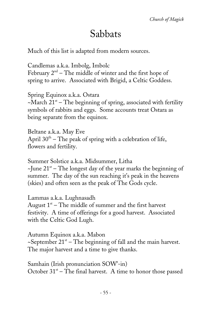# Sabbats

Much of this list is adapted from modern sources.

Candlemas a.k.a. Imbolg, Imbolc February  $2<sup>nd</sup>$  – The middle of winter and the first hope of spring to arrive. Associated with Brigid, a Celtic Goddess.

Spring Equinox a.k.a. Ostara  $-March$  21<sup>st</sup> – The beginning of spring, associated with fertility symbols of rabbits and eggs. Some accounts treat Ostara as being separate from the equinox.

Beltane a.k.a. May Eve April  $30<sup>th</sup>$  – The peak of spring with a celebration of life, flowers and fertility.

Summer Solstice a.k.a. Midsummer, Litha  $\sim$ June 21<sup>st</sup> – The longest day of the year marks the beginning of summer. The day of the sun reaching it's peak in the heavens (skies) and often seen as the peak of The Gods cycle.

Lammas a.k.a. Lughnasadh August  $1<sup>st</sup>$  – The middle of summer and the first harvest festivity. A time of offerings for a good harvest. Associated with the Celtic God Lugh.

Autumn Equinox a.k.a. Mabon  $\sim$ September 21<sup>st</sup> – The beginning of fall and the main harvest. The major harvest and a time to give thanks.

Samhain (Irish pronunciation SOW'-in) October  $31<sup>st</sup>$  – The final harvest. A time to honor those passed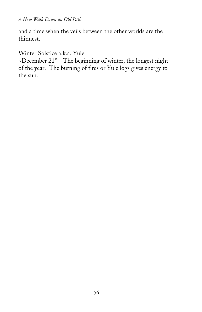and a time when the veils between the other worlds are the thinnest.

Winter Solstice a.k.a. Yule

~December  $21<sup>st</sup>$  – The beginning of winter, the longest night of the year. The burning of fires or Yule logs gives energy to the sun.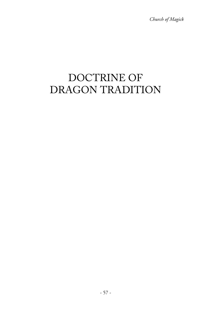*Church of Magick*

# DOCTRINE OF DRAGON TRADITION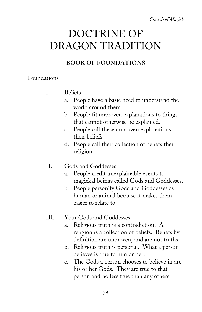*Church of Magick*

# DOCTRINE OF DRAGON TRADITION

### **BOOK OF FOUNDATIONS**

### Foundations

- I. Beliefs
	- a. People have a basic need to understand the world around them.
	- b. People fit unproven explanations to things that cannot otherwise be explained.
	- c. People call these unproven explanations their beliefs.
	- d. People call their collection of beliefs their religion.
- II. Gods and Goddesses
	- a. People credit unexplainable events to magickal beings called Gods and Goddesses.
	- b. People personify Gods and Goddesses as human or animal because it makes them easier to relate to.
- III. Your Gods and Goddesses
	- a. Religious truth is a contradiction. A religion is a collection of beliefs. Beliefs by definition are unproven, and are not truths.
	- b. Religious truth is personal. What a person believes is true to him or her.
	- c. The Gods a person chooses to believe in are his or her Gods. They are true to that person and no less true than any others.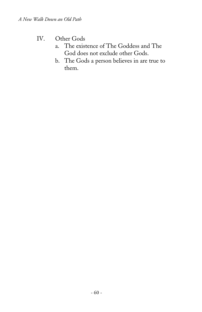### IV. Other Gods

- a. The existence of The Goddess and The God does not exclude other Gods.
- b. The Gods a person believes in are true to them.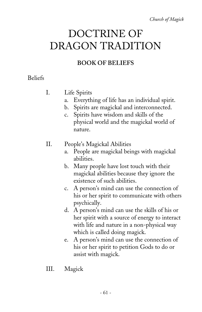*Church of Magick*

# DOCTRINE OF DRAGON TRADITION

### **BOOK OF BELIEFS**

### Beliefs

- I. Life Spirits
	- a. Everything of life has an individual spirit.
	- b. Spirits are magickal and interconnected.
	- c. Spirits have wisdom and skills of the physical world and the magickal world of nature.
- II. People's Magickal Abilities
	- a. People are magickal beings with magickal abilities.
	- b. Many people have lost touch with their magickal abilities because they ignore the existence of such abilities.
	- c. A person's mind can use the connection of his or her spirit to communicate with others psychically.
	- d. A person's mind can use the skills of his or her spirit with a source of energy to interact with life and nature in a non-physical way which is called doing magick.
	- e. A person's mind can use the connection of his or her spirit to petition Gods to do or assist with magick.
- III. Magick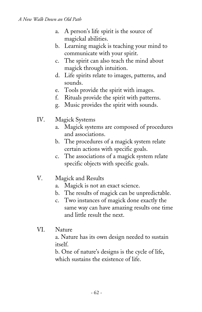- a. A person's life spirit is the source of magickal abilities.
- b. Learning magick is teaching your mind to communicate with your spirit.
- c. The spirit can also teach the mind about magick through intuition.
- d. Life spirits relate to images, patterns, and sounds.
- e. Tools provide the spirit with images.
- f. Rituals provide the spirit with patterns.
- g. Music provides the spirit with sounds.
- IV. Magick Systems
	- a. Magick systems are composed of procedures and associations.
	- b. The procedures of a magick system relate certain actions with specific goals.
	- c. The associations of a magick system relate specific objects with specific goals.
- V. Magick and Results
	- a. Magick is not an exact science.
	- b. The results of magick can be unpredictable.
	- c. Two instances of magick done exactly the same way can have amazing results one time and little result the next.
- VI. Nature

a. Nature has its own design needed to sustain itself.

b. One of nature's designs is the cycle of life, which sustains the existence of life.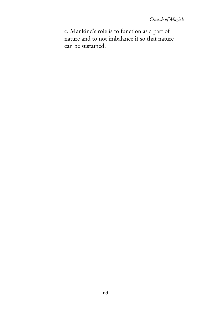c. Mankind's role is to function as a part of nature and to not imbalance it so that nature can be sustained.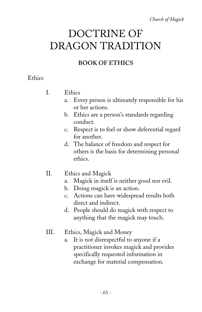*Church of Magick*

# DOCTRINE OF DRAGON TRADITION

### **BOOK OF ETHICS**

### **Ethics**

- I. Ethics
	- a. Every person is ultimately responsible for his or her actions.
	- b. Ethics are a person's standards regarding conduct.
	- c. Respect is to feel or show deferential regard for another.
	- d. The balance of freedom and respect for others is the basis for determining personal ethics.
- II. Ethics and Magick
	- a. Magick in itself is neither good nor evil.
	- b. Doing magick is an action.
	- c. Actions can have widespread results both direct and indirect.
	- d. People should do magick with respect to anything that the magick may touch.
- III. Ethics, Magick and Money
	- a. It is not disrespectful to anyone if a practitioner invokes magick and provides specifically requested information in exchange for material compensation.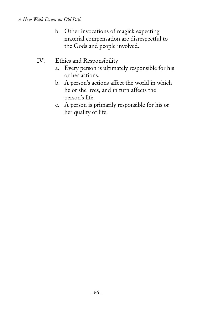- b. Other invocations of magick expecting material compensation are disrespectful to the Gods and people involved.
- IV. Ethics and Responsibility
	- a. Every person is ultimately responsible for his or her actions.
	- b. A person's actions affect the world in which he or she lives, and in turn affects the person's life.
	- c. A person is primarily responsible for his or her quality of life.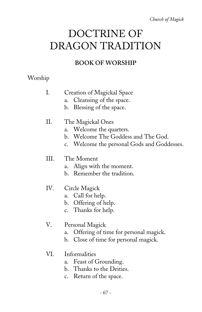*Church of Magick*

# DOCTRINE OF DRAGON TRADITION

### **BOOK OF WORSHIP**

### Worship

#### I. Creation of Magickal Space

- a. Cleansing of the space.
- b. Blessing of the space.
- II. The Magickal Ones
	- a. Welcome the quarters.
	- b. Welcome The Goddess and The God.
	- c. Welcome the personal Gods and Goddesses.

#### III. The Moment

- a. Align with the moment.
- b. Remember the tradition.

#### IV. Circle Magick

- a. Call for help.
- b. Offering of help.
- c. Thanks for help.
- V. Personal Magick
	- a. Offering of time for personal magick.
	- b. Close of time for personal magick.

#### VI. Informalities

- a. Feast of Grounding.
- b. Thanks to the Deities.
- c. Return of the space.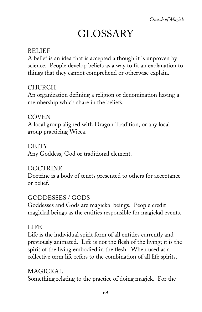# GLOSSARY

### BELIEF

A belief is an idea that is accepted although it is unproven by science. People develop beliefs as a way to fit an explanation to things that they cannot comprehend or otherwise explain.

### CHURCH

An organization defining a religion or denomination having a membership which share in the beliefs.

### **COVEN**

A local group aligned with Dragon Tradition, or any local group practicing Wicca.

DEITY Any Goddess, God or traditional element.

### DOCTRINE

Doctrine is a body of tenets presented to others for acceptance or belief.

### GODDESSES / GODS

Goddesses and Gods are magickal beings. People credit magickal beings as the entities responsible for magickal events.

### LIFE

Life is the individual spirit form of all entities currently and previously animated. Life is not the flesh of the living; it is the spirit of the living embodied in the flesh. When used as a collective term life refers to the combination of all life spirits.

### MAGICKAL

Something relating to the practice of doing magick. For the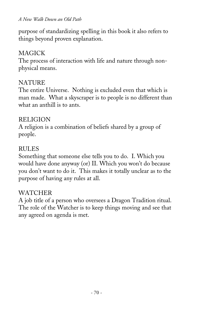purpose of standardizing spelling in this book it also refers to things beyond proven explanation.

#### MAGICK

The process of interaction with life and nature through nonphysical means.

#### **NATURE**

The entire Universe. Nothing is excluded even that which is man made. What a skyscraper is to people is no different than what an anthill is to ants.

#### RELIGION

A religion is a combination of beliefs shared by a group of people.

#### RULES

Something that someone else tells you to do. I. Which you would have done anyway (or) II. Which you won't do because you don't want to do it. This makes it totally unclear as to the purpose of having any rules at all.

#### WATCHER

A job title of a person who oversees a Dragon Tradition ritual. The role of the Watcher is to keep things moving and see that any agreed on agenda is met.